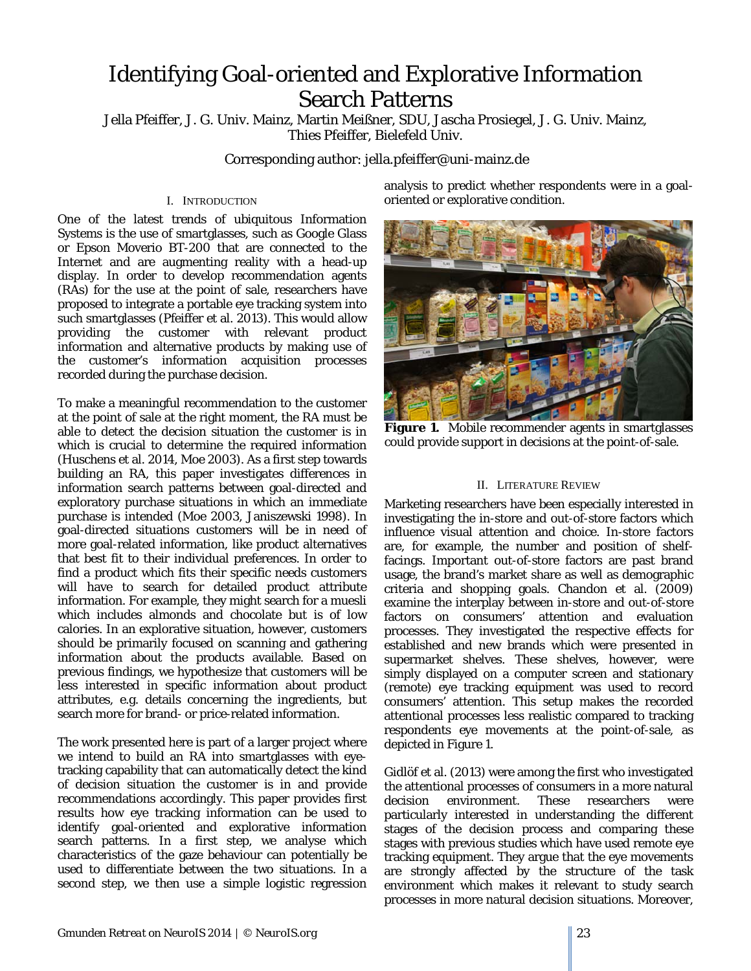# Identifying Goal-oriented and Explorative Information Search Patterns

Jella Pfeiffer, J. G. Univ. Mainz, Martin Meißner, SDU, Jascha Prosiegel, J. G. Univ. Mainz, Thies Pfeiffer, Bielefeld Univ.

Corresponding author: jella.pfeiffer@uni-mainz.de

## I. INTRODUCTION

One of the latest trends of ubiquitous Information Systems is the use of smartglasses, such as Google Glass or Epson Moverio BT-200 that are connected to the Internet and are augmenting reality with a head-up display. In order to develop recommendation agents (RAs) for the use at the point of sale, researchers have proposed to integrate a portable eye tracking system into such smartglasses (Pfeiffer et al. 2013). This would allow providing the customer with relevant product information and alternative products by making use of the customer's information acquisition processes recorded during the purchase decision.

To make a meaningful recommendation to the customer at the point of sale at the right moment, the RA must be able to detect the decision situation the customer is in which is crucial to determine the required information (Huschens et al. 2014, Moe 2003). As a first step towards building an RA, this paper investigates differences in information search patterns between goal-directed and exploratory purchase situations in which an immediate purchase is intended (Moe 2003, Janiszewski 1998). In goal-directed situations customers will be in need of more goal-related information, like product alternatives that best fit to their individual preferences. In order to find a product which fits their specific needs customers will have to search for detailed product attribute information. For example, they might search for a muesli which includes almonds and chocolate but is of low calories. In an explorative situation, however, customers should be primarily focused on scanning and gathering information about the products available. Based on previous findings, we hypothesize that customers will be less interested in specific information about product attributes, e.g. details concerning the ingredients, but search more for brand- or price-related information.

The work presented here is part of a larger project where we intend to build an RA into smartglasses with eyetracking capability that can automatically detect the kind of decision situation the customer is in and provide recommendations accordingly. This paper provides first results how eye tracking information can be used to identify goal-oriented and explorative information search patterns. In a first step, we analyse which characteristics of the gaze behaviour can potentially be used to differentiate between the two situations. In a second step, we then use a simple logistic regression analysis to predict whether respondents were in a goaloriented or explorative condition.



**Figure 1.** Mobile recommender agents in smartglasses could provide support in decisions at the point-of-sale.

### II. LITERATURE REVIEW

Marketing researchers have been especially interested in investigating the in-store and out-of-store factors which influence visual attention and choice. In-store factors are, for example, the number and position of shelffacings. Important out-of-store factors are past brand usage, the brand's market share as well as demographic criteria and shopping goals. Chandon et al. (2009) examine the interplay between in-store and out-of-store factors on consumers' attention and evaluation processes. They investigated the respective effects for established and new brands which were presented in supermarket shelves. These shelves, however, were simply displayed on a computer screen and stationary (remote) eye tracking equipment was used to record consumers' attention. This setup makes the recorded attentional processes less realistic compared to tracking respondents eye movements at the point-of-sale, as depicted in Figure 1.

Gidlöf et al. (2013) were among the first who investigated the attentional processes of consumers in a more natural decision environment. These researchers were particularly interested in understanding the different stages of the decision process and comparing these stages with previous studies which have used remote eye tracking equipment. They argue that the eye movements are strongly affected by the structure of the task environment which makes it relevant to study search processes in more natural decision situations. Moreover,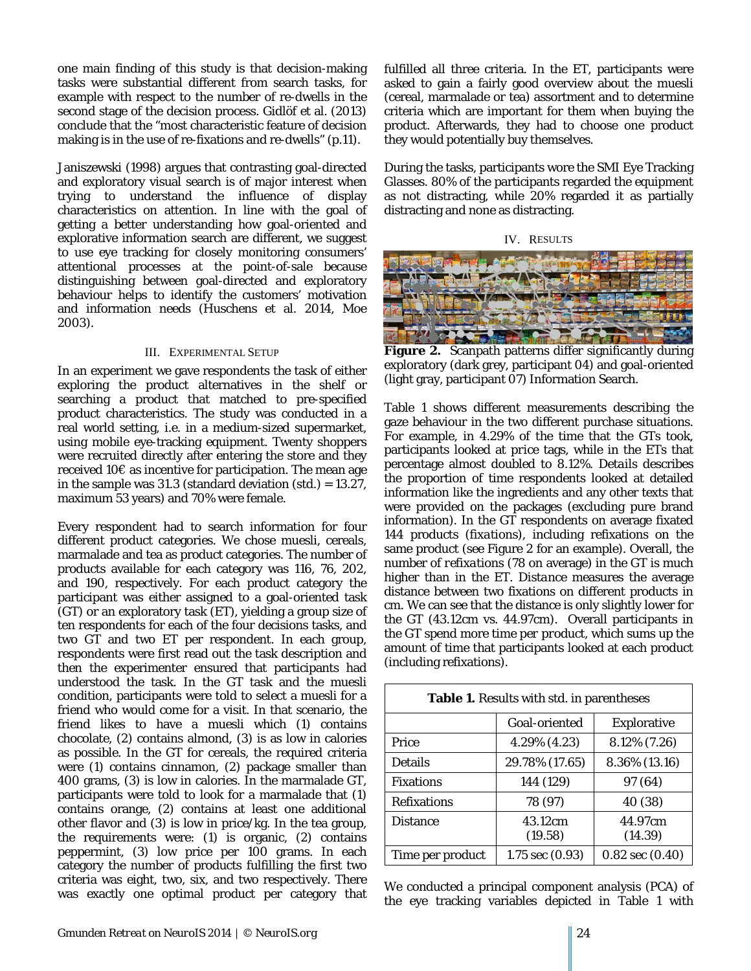one main finding of this study is that decision-making tasks were substantial different from search tasks, for example with respect to the number of re-dwells in the second stage of the decision process. Gidlöf et al. (2013) conclude that the "most characteristic feature of decision making is in the use of re-fixations and re-dwells" (p.11).

Janiszewski (1998) argues that contrasting goal-directed and exploratory visual search is of major interest when trying to understand the influence of display characteristics on attention. In line with the goal of getting a better understanding how goal-oriented and explorative information search are different, we suggest to use eye tracking for closely monitoring consumers' attentional processes at the point-of-sale because distinguishing between goal-directed and exploratory behaviour helps to identify the customers' motivation and information needs (Huschens et al. 2014, Moe 2003).

#### III. EXPERIMENTAL SETUP

In an experiment we gave respondents the task of either exploring the product alternatives in the shelf or searching a product that matched to pre-specified product characteristics. The study was conducted in a real world setting, i.e. in a medium-sized supermarket, using mobile eye-tracking equipment. Twenty shoppers were recruited directly after entering the store and they received 10€ as incentive for participation. The mean age in the sample was 31.3 (standard deviation (std.) = 13.27, maximum 53 years) and 70% were female.

Every respondent had to search information for four different product categories. We chose muesli, cereals, marmalade and tea as product categories. The number of products available for each category was 116, 76, 202, and 190, respectively. For each product category the participant was either assigned to a goal-oriented task (GT) or an exploratory task (ET), yielding a group size of ten respondents for each of the four decisions tasks, and two GT and two ET per respondent. In each group, respondents were first read out the task description and then the experimenter ensured that participants had understood the task. In the GT task and the muesli condition, participants were told to select a muesli for a friend who would come for a visit. In that scenario, the friend likes to have a muesli which (1) contains chocolate, (2) contains almond, (3) is as low in calories as possible. In the GT for cereals, the required criteria were (1) contains cinnamon, (2) package smaller than 400 grams, (3) is low in calories. In the marmalade GT, participants were told to look for a marmalade that (1) contains orange, (2) contains at least one additional other flavor and (3) is low in price/kg. In the tea group, the requirements were: (1) is organic, (2) contains peppermint, (3) low price per 100 grams. In each category the number of products fulfilling the first two criteria was eight, two, six, and two respectively. There was exactly one optimal product per category that fulfilled all three criteria. In the ET, participants were asked to gain a fairly good overview about the muesli (cereal, marmalade or tea) assortment and to determine criteria which are important for them when buying the product. Afterwards, they had to choose one product they would potentially buy themselves.

During the tasks, participants wore the SMI Eye Tracking Glasses. 80% of the participants regarded the equipment as not distracting, while 20% regarded it as partially distracting and none as distracting.





**Figure 2.** Scanpath patterns differ significantly during exploratory (dark grey, participant 04) and goal-oriented (light gray, participant 07) Information Search.

Table 1 shows different measurements describing the gaze behaviour in the two different purchase situations. For example, in 4.29% of the time that the GTs took, participants looked at *price* tags, while in the ETs that percentage almost doubled to 8.12%. *Details* describes the proportion of time respondents looked at detailed information like the ingredients and any other texts that were provided on the packages (excluding pure brand information). In the GT respondents on average fixated 144 products (*fixations*), including refixations on the same product (see Figure 2 for an example). Overall, the number of *refixations* (78 on average) in the GT is much higher than in the ET. *Distance* measures the average distance between two fixations on different products in cm. We can see that the distance is only slightly lower for the GT (43.12cm vs. 44.97cm). Overall participants in the GT spend more *time per product*, which sums up the amount of time that participants looked at each product (including refixations).

| <b>Table 1.</b> Results with std. in parentheses |                     |                     |  |
|--------------------------------------------------|---------------------|---------------------|--|
|                                                  | Goal-oriented       | <b>Explorative</b>  |  |
| Price                                            | 4.29% (4.23)        | 8.12% (7.26)        |  |
| <b>Details</b>                                   | 29.78% (17.65)      | 8.36% (13.16)       |  |
| <b>Fixations</b>                                 | 144 (129)           | 97 (64)             |  |
| <b>Refixations</b>                               | 78 (97)             | 40 (38)             |  |
| <b>Distance</b>                                  | 43.12cm<br>(19.58)  | 44.97cm<br>(14.39)  |  |
| Time per product                                 | $1.75$ sec $(0.93)$ | $0.82$ sec $(0.40)$ |  |

We conducted a principal component analysis (PCA) of the eye tracking variables depicted in Table 1 with